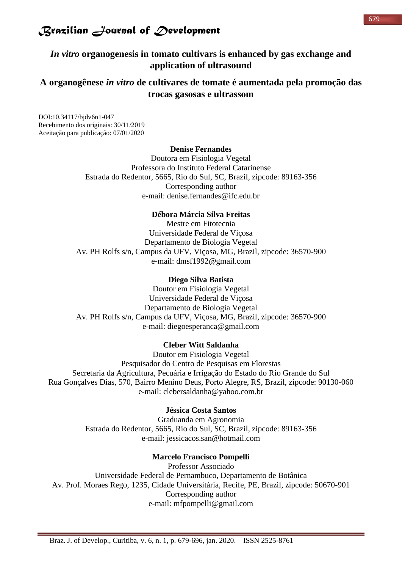*In vitro* **organogenesis in tomato cultivars is enhanced by gas exchange and application of ultrasound**

### **A organogênese** *in vitro* **de cultivares de tomate é aumentada pela promoção das trocas gasosas e ultrassom**

DOI:10.34117/bjdv6n1-047 Recebimento dos originais: 30/11/2019 Aceitação para publicação: 07/01/2020

#### **Denise Fernandes**

Doutora em Fisiologia Vegetal Professora do Instituto Federal Catarinense Estrada do Redentor, 5665, Rio do Sul, SC, Brazil, zipcode: 89163-356 Corresponding author e-mail: denise.fernandes@ifc.edu.br

### **Débora Márcia Silva Freitas**

Mestre em Fitotecnia Universidade Federal de Viçosa Departamento de Biologia Vegetal Av. PH Rolfs s/n, Campus da UFV, Viçosa, MG, Brazil, zipcode: 36570-900 e-mail: dmsf1992@gmail.com

### **Diego Silva Batista**

Doutor em Fisiologia Vegetal Universidade Federal de Viçosa Departamento de Biologia Vegetal Av. PH Rolfs s/n, Campus da UFV, Viçosa, MG, Brazil, zipcode: 36570-900 e-mail: diegoesperanca@gmail.com

#### **Cleber Witt Saldanha**

Doutor em Fisiologia Vegetal Pesquisador do Centro de Pesquisas em Florestas Secretaria da Agricultura, Pecuária e Irrigação do Estado do Rio Grande do Sul Rua Gonçalves Dias, 570, Bairro Menino Deus, Porto Alegre, RS, Brazil, zipcode: 90130-060 e-mail: clebersaldanha@yahoo.com.br

### **Jéssica Costa Santos**

Graduanda em Agronomia Estrada do Redentor, 5665, Rio do Sul, SC, Brazil, zipcode: 89163-356 e-mail: jessicacos.san@hotmail.com

#### **Marcelo Francisco Pompelli**

Professor Associado Universidade Federal de Pernambuco, Departamento de Botânica Av. Prof. Moraes Rego, 1235, Cidade Universitária, Recife, PE, Brazil, zipcode: 50670-901 Corresponding author e-mail: mfpompelli@gmail.com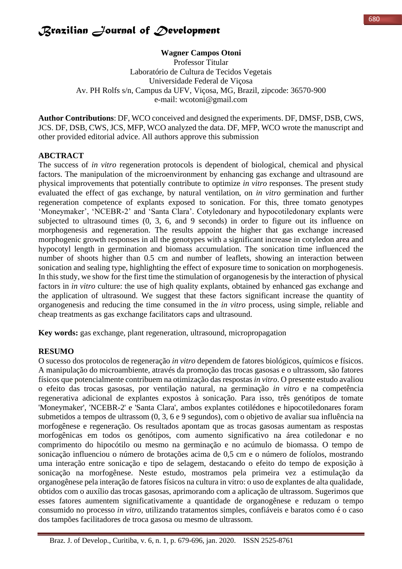### **Wagner Campos Otoni**

Professor Titular Laboratório de Cultura de Tecidos Vegetais Universidade Federal de Viçosa Av. PH Rolfs s/n, Campus da UFV, Viçosa, MG, Brazil, zipcode: 36570-900 e-mail: wcotoni@gmail.com

**Author Contributions**: DF, WCO conceived and designed the experiments. DF, DMSF, DSB, CWS, JCS. DF, DSB, CWS, JCS, MFP, WCO analyzed the data. DF, MFP, WCO wrote the manuscript and other provided editorial advice. All authors approve this submission

### **ABCTRACT**

The success of *in vitro* regeneration protocols is dependent of biological, chemical and physical factors. The manipulation of the microenvironment by enhancing gas exchange and ultrasound are physical improvements that potentially contribute to optimize *in vitro* responses. The present study evaluated the effect of gas exchange, by natural ventilation, on *in vitro* germination and further regeneration competence of explants exposed to sonication. For this, three tomato genotypes 'Moneymaker', 'NCEBR-2' and 'Santa Clara'. Cotyledonary and hypocotiledonary explants were subjected to ultrasound times (0, 3, 6, and 9 seconds) in order to figure out its influence on morphogenesis and regeneration. The results appoint the higher that gas exchange increased morphogenic growth responses in all the genotypes with a significant increase in cotyledon area and hypocotyl length in germination and biomass accumulation. The sonication time influenced the number of shoots higher than 0.5 cm and number of leaflets, showing an interaction between sonication and sealing type, highlighting the effect of exposure time to sonication on morphogenesis. In this study, we show for the first time the stimulation of organogenesis by the interaction of physical factors in *in vitro* culture: the use of high quality explants, obtained by enhanced gas exchange and the application of ultrasound. We suggest that these factors significant increase the quantity of organogenesis and reducing the time consumed in the *in vitro* process, using simple, reliable and cheap treatments as gas exchange facilitators caps and ultrasound.

**Key words:** gas exchange, plant regeneration, ultrasound, micropropagation

### **RESUMO**

O sucesso dos protocolos de regeneração *in vitro* dependem de fatores biológicos, químicos e físicos. A manipulação do microambiente, através da promoção das trocas gasosas e o ultrassom, são fatores físicos que potencialmente contribuem na otimização das respostas *in vitro*. O presente estudo avaliou o efeito das trocas gasosas, por ventilação natural, na germinação *in vitro* e na competência regenerativa adicional de explantes expostos à sonicação. Para isso, três genótipos de tomate 'Moneymaker', 'NCEBR-2' e 'Santa Clara', ambos explantes cotilédones e hipocotiledonares foram submetidos a tempos de ultrassom (0, 3, 6 e 9 segundos), com o objetivo de avaliar sua influência na morfogênese e regeneração. Os resultados apontam que as trocas gasosas aumentam as respostas morfogênicas em todos os genótipos, com aumento significativo na área cotiledonar e no comprimento do hipocótilo ou mesmo na germinação e no acúmulo de biomassa. O tempo de sonicação influenciou o número de brotações acima de 0,5 cm e o número de folíolos, mostrando uma interação entre sonicação e tipo de selagem, destacando o efeito do tempo de exposição à sonicação na morfogênese. Neste estudo, mostramos pela primeira vez a estimulação da organogênese pela interação de fatores físicos na cultura in vitro: o uso de explantes de alta qualidade, obtidos com o auxílio das trocas gasosas, aprimorando com a aplicação de ultrassom. Sugerimos que esses fatores aumentem significativamente a quantidade de organogênese e reduzam o tempo consumido no processo *in vitro*, utilizando tratamentos simples, confiáveis e baratos como é o caso dos tampões facilitadores de troca gasosa ou mesmo de ultrassom.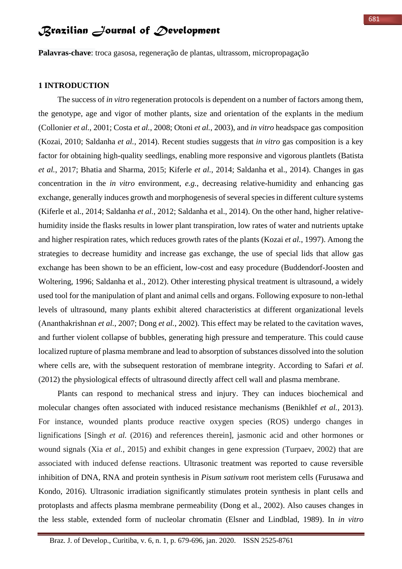**Palavras-chave**: troca gasosa, regeneração de plantas, ultrassom, micropropagação

#### **1 INTRODUCTION**

The success of *in vitro* regeneration protocols is dependent on a number of factors among them, the genotype, age and vigor of mother plants, size and orientation of the explants in the medium (Collonier *et al.*, 2001; Costa *et al.*, 2008; Otoni *et al.*, 2003), and *in vitro* headspace gas composition (Kozai, 2010; Saldanha *et al.*, 2014). Recent studies suggests that *in vitro* gas composition is a key factor for obtaining high-quality seedlings, enabling more responsive and vigorous plantlets (Batista *et al.*, 2017; Bhatia and Sharma, 2015; Kiferle *et al.*, 2014; Saldanha et al., 2014). Changes in gas concentration in the *in vitro* environment, *e.g.*, decreasing relative-humidity and enhancing gas exchange, generally induces growth and morphogenesis of several species in different culture systems (Kiferle et al., 2014; Saldanha *et al.*, 2012; Saldanha et al., 2014). On the other hand, higher relativehumidity inside the flasks results in lower plant transpiration, low rates of water and nutrients uptake and higher respiration rates, which reduces growth rates of the plants (Kozai *et al.*, 1997). Among the strategies to decrease humidity and increase gas exchange, the use of special lids that allow gas exchange has been shown to be an efficient, low-cost and easy procedure (Buddendorf-Joosten and Woltering, 1996; Saldanha et al., 2012). Other interesting physical treatment is ultrasound, a widely used tool for the manipulation of plant and animal cells and organs. Following exposure to non-lethal levels of ultrasound, many plants exhibit altered characteristics at different organizational levels (Ananthakrishnan *et al.*, 2007; Dong *et al.*, 2002). This effect may be related to the cavitation waves, and further violent collapse of bubbles, generating high pressure and temperature. This could cause localized rupture of plasma membrane and lead to absorption of substances dissolved into the solution where cells are, with the subsequent restoration of membrane integrity. According to Safari *et al.* (2012) the physiological effects of ultrasound directly affect cell wall and plasma membrane.

Plants can respond to mechanical stress and injury. They can induces biochemical and molecular changes often associated with induced resistance mechanisms (Benikhlef *et al.*, 2013). For instance, wounded plants produce reactive oxygen species (ROS) undergo changes in lignifications [Singh *et al.* (2016) and references therein], jasmonic acid and other hormones or wound signals (Xia *et al.*, 2015) and exhibit changes in gene expression (Turpaev, 2002) that are associated with induced defense reactions. Ultrasonic treatment was reported to cause reversible inhibition of DNA, RNA and protein synthesis in *Pisum sativum* root meristem cells (Furusawa and Kondo, 2016). Ultrasonic irradiation significantly stimulates protein synthesis in plant cells and protoplasts and affects plasma membrane permeability (Dong et al., 2002). Also causes changes in the less stable, extended form of nucleolar chromatin (Elsner and Lindblad, 1989). In *in vitro*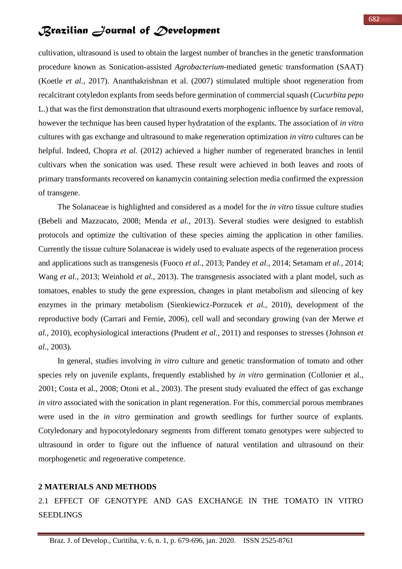cultivation, ultrasound is used to obtain the largest number of branches in the genetic transformation procedure known as Sonication-assisted *Agrobacterium*-mediated genetic transformation (SAAT) (Koetle *et al.*, 2017). Ananthakrishnan et al. (2007) stimulated multiple shoot regeneration from recalcitrant cotyledon explants from seeds before germination of commercial squash (*Cucurbita pepo* L.) that was the first demonstration that ultrasound exerts morphogenic influence by surface removal, however the technique has been caused hyper hydratation of the explants. The association of *in vitro* cultures with gas exchange and ultrasound to make regeneration optimization *in vitro* cultures can be helpful. Indeed, Chopra *et al.* (2012) achieved a higher number of regenerated branches in lentil cultivars when the sonication was used. These result were achieved in both leaves and roots of primary transformants recovered on kanamycin containing selection media confirmed the expression of transgene.

The Solanaceae is highlighted and considered as a model for the *in vitro* tissue culture studies (Bebeli and Mazzucato, 2008; Menda *et al.*, 2013). Several studies were designed to establish protocols and optimize the cultivation of these species aiming the application in other families. Currently the tissue culture Solanaceae is widely used to evaluate aspects of the regeneration process and applications such as transgenesis (Fuoco *et al.*, 2013; Pandey *et al.*, 2014; Setamam *et al.*, 2014; Wang *et al.*, 2013; Weinhold *et al.*, 2013). The transgenesis associated with a plant model, such as tomatoes, enables to study the gene expression, changes in plant metabolism and silencing of key enzymes in the primary metabolism (Sienkiewicz-Porzucek *et al.*, 2010), development of the reproductive body (Carrari and Fernie, 2006), cell wall and secondary growing (van der Merwe *et al.*, 2010), ecophysiological interactions (Prudent *et al.*, 2011) and responses to stresses (Johnson *et al.*, 2003).

In general, studies involving *in vitro* culture and genetic transformation of tomato and other species rely on juvenile explants, frequently established by *in vitro* germination (Collonier et al., 2001; Costa et al., 2008; Otoni et al., 2003). The present study evaluated the effect of gas exchange *in vitro* associated with the sonication in plant regeneration. For this, commercial porous membranes were used in the *in vitro* germination and growth seedlings for further source of explants. Cotyledonary and hypocotyledonary segments from different tomato genotypes were subjected to ultrasound in order to figure out the influence of natural ventilation and ultrasound on their morphogenetic and regenerative competence.

### **2 MATERIALS AND METHODS**

2.1 EFFECT OF GENOTYPE AND GAS EXCHANGE IN THE TOMATO IN VITRO **SEEDLINGS**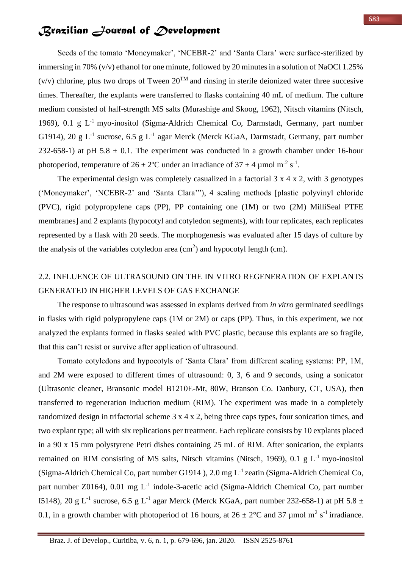Seeds of the tomato 'Moneymaker', 'NCEBR-2' and 'Santa Clara' were surface-sterilized by immersing in 70% (v/v) ethanol for one minute, followed by 20 minutes in a solution of NaOCl 1.25%  $(v/v)$  chlorine, plus two drops of Tween  $20<sup>TM</sup>$  and rinsing in sterile deionized water three succesive times. Thereafter, the explants were transferred to flasks containing 40 mL of medium. The culture medium consisted of half-strength MS salts (Murashige and Skoog, 1962), Nitsch vitamins (Nitsch, 1969), 0.1 g  $L^{-1}$  myo-inositol (Sigma-Aldrich Chemical Co, Darmstadt, Germany, part number G1914), 20 g  $L^{-1}$  sucrose, 6.5 g  $L^{-1}$  agar Merck (Merck KGaA, Darmstadt, Germany, part number 232-658-1) at pH 5.8  $\pm$  0.1. The experiment was conducted in a growth chamber under 16-hour photoperiod, temperature of  $26 \pm 2$ °C under an irradiance of  $37 \pm 4$  µmol m<sup>-2</sup> s<sup>-1</sup>.

The experimental design was completely casualized in a factorial 3 x 4 x 2, with 3 genotypes ('Moneymaker', 'NCEBR-2' and 'Santa Clara'"), 4 sealing methods [plastic polyvinyl chloride (PVC), rigid polypropylene caps (PP), PP containing one (1M) or two (2M) MilliSeal PTFE membranes] and 2 explants (hypocotyl and cotyledon segments), with four replicates, each replicates represented by a flask with 20 seeds. The morphogenesis was evaluated after 15 days of culture by the analysis of the variables cotyledon area  $(cm<sup>2</sup>)$  and hypocotyl length  $(cm)$ .

## 2.2. INFLUENCE OF ULTRASOUND ON THE IN VITRO REGENERATION OF EXPLANTS GENERATED IN HIGHER LEVELS OF GAS EXCHANGE

The response to ultrasound was assessed in explants derived from *in vitro* germinated seedlings in flasks with rigid polypropylene caps (1M or 2M) or caps (PP). Thus, in this experiment, we not analyzed the explants formed in flasks sealed with PVC plastic, because this explants are so fragile, that this can't resist or survive after application of ultrasound.

Tomato cotyledons and hypocotyls of 'Santa Clara' from different sealing systems: PP, 1M, and 2M were exposed to different times of ultrasound: 0, 3, 6 and 9 seconds, using a sonicator (Ultrasonic cleaner, Bransonic model B1210E-Mt, 80W, Branson Co. Danbury, CT, USA), then transferred to regeneration induction medium (RIM). The experiment was made in a completely randomized design in trifactorial scheme 3 x 4 x 2, being three caps types, four sonication times, and two explant type; all with six replications per treatment. Each replicate consists by 10 explants placed in a 90 x 15 mm polystyrene Petri dishes containing 25 mL of RIM. After sonication, the explants remained on RIM consisting of MS salts, Nitsch vitamins (Nitsch, 1969), 0.1 g  $L^{-1}$  myo-inositol (Sigma-Aldrich Chemical Co, part number G1914 ), 2.0 mg L-1 zeatin (Sigma-Aldrich Chemical Co, part number Z0164), 0.01 mg L<sup>-1</sup> indole-3-acetic acid (Sigma-Aldrich Chemical Co, part number 15148), 20 g L<sup>-1</sup> sucrose, 6.5 g L<sup>-1</sup> agar Merck (Merck KGaA, part number 232-658-1) at pH 5.8  $\pm$ 0.1, in a growth chamber with photoperiod of 16 hours, at  $26 \pm 2^{\circ}$ C and 37 µmol m<sup>2</sup> s<sup>-1</sup> irradiance.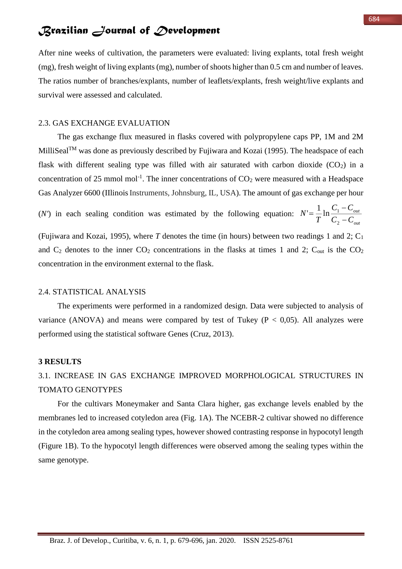After nine weeks of cultivation, the parameters were evaluated: living explants, total fresh weight (mg), fresh weight of living explants (mg), number of shoots higher than 0.5 cm and number of leaves. The ratios number of branches/explants, number of leaflets/explants, fresh weight/live explants and survival were assessed and calculated.

### 2.3. GAS EXCHANGE EVALUATION

The gas exchange flux measured in flasks covered with polypropylene caps PP, 1M and 2M MilliSeal<sup>TM</sup> was done as previously described by Fujiwara and Kozai (1995). The headspace of each flask with different sealing type was filled with air saturated with carbon dioxide  $(CO_2)$  in a concentration of 25 mmol mol<sup>-1</sup>. The inner concentrations of  $CO<sub>2</sub>$  were measured with a Headspace Gas Analyzer 6600 (Illinois Instruments, Johnsburg, IL, USA). The amount of gas exchange per hour

(*N'*) in each sealing condition was estimated by the following equation:  $N' = \frac{1}{R} \ln \frac{C_1}{C_2}$ *out C C C C T*  $N' = -\frac{1}{T} \ln \frac{1}{C}$  $=\frac{1}{T}\ln\frac{C_1}{C_2}$  $=$  $\frac{1}{-}$ ln $\frac{C_1}{-}$ 

(Fujiwara and Kozai, 1995), where *T* denotes the time (in hours) between two readings 1 and 2; C<sup>1</sup> and  $C_2$  denotes to the inner  $CO_2$  concentrations in the flasks at times 1 and 2;  $C_{out}$  is the  $CO_2$ concentration in the environment external to the flask.

### 2.4. STATISTICAL ANALYSIS

The experiments were performed in a randomized design. Data were subjected to analysis of variance (ANOVA) and means were compared by test of Tukey ( $P < 0.05$ ). All analyzes were performed using the statistical software Genes (Cruz, 2013).

#### **3 RESULTS**

## 3.1. INCREASE IN GAS EXCHANGE IMPROVED MORPHOLOGICAL STRUCTURES IN TOMATO GENOTYPES

For the cultivars Moneymaker and Santa Clara higher, gas exchange levels enabled by the membranes led to increased cotyledon area (Fig. 1A). The NCEBR-2 cultivar showed no difference in the cotyledon area among sealing types, however showed contrasting response in hypocotyl length (Figure 1B). To the hypocotyl length differences were observed among the sealing types within the same genotype.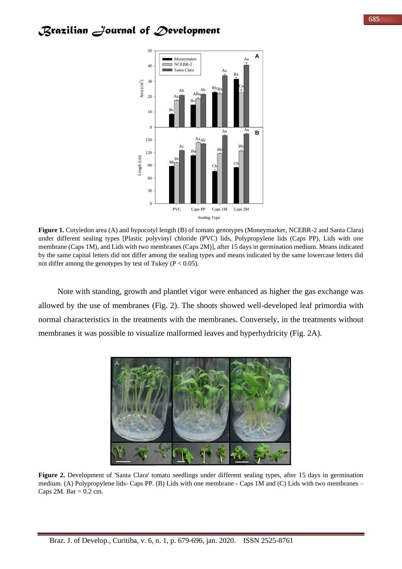

**Figure 1.** Cotyledon area (A) and hypocotyl length (B) of tomato genotypes (Moneymarker, NCEBR-2 and Santa Clara) under different sealing types [Plastic polyvinyl chloride (PVC) lids, Polypropylene lids (Caps PP), Lids with one membrane (Caps 1M), and Lids with two membranes (Caps 2M)], after 15 days in germination medium. Means indicated by the same capital letters did not differ among the sealing types and means indicated by the same lowercase letters did not differ among the genotypes by test of Tukey ( $P < 0.05$ ).

Note with standing, growth and plantlet vigor were enhanced as higher the gas exchange was allowed by the use of membranes (Fig. 2). The shoots showed well-developed leaf primordia with normal characteristics in the treatments with the membranes. Conversely, in the treatments without membranes it was possible to visualize malformed leaves and hyperhydricity (Fig. 2A).



Figure 2. Development of 'Santa Clara' tomato seedlings under different sealing types, after 15 days in germination medium. (A) Polypropylene lids- Caps PP. (B) Lids with one membrane - Caps 1M and (C) Lids with two membranes – Caps  $2M$ . Bar = 0.2 cm.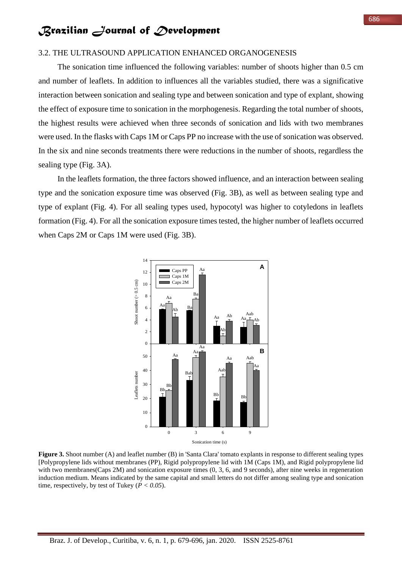### 3.2. THE ULTRASOUND APPLICATION ENHANCED ORGANOGENESIS

The sonication time influenced the following variables: number of shoots higher than 0.5 cm and number of leaflets. In addition to influences all the variables studied, there was a significative interaction between sonication and sealing type and between sonication and type of explant, showing the effect of exposure time to sonication in the morphogenesis. Regarding the total number of shoots, the highest results were achieved when three seconds of sonication and lids with two membranes were used. In the flasks with Caps 1M or Caps PP no increase with the use of sonication was observed. In the six and nine seconds treatments there were reductions in the number of shoots, regardless the sealing type (Fig. 3A).

In the leaflets formation, the three factors showed influence, and an interaction between sealing type and the sonication exposure time was observed (Fig. 3B), as well as between sealing type and type of explant (Fig. 4). For all sealing types used, hypocotyl was higher to cotyledons in leaflets formation (Fig. 4). For all the sonication exposure times tested, the higher number of leaflets occurred when Caps 2M or Caps 1M were used (Fig. 3B).



**Figure 3.** Shoot number (A) and leaflet number (B) in 'Santa Clara' tomato explants in response to different sealing types [Polypropylene lids without membranes (PP), Rigid polypropylene lid with 1M (Caps 1M), and Rigid polypropylene lid with two membranes(Caps 2M) and sonication exposure times (0, 3, 6, and 9 seconds), after nine weeks in regeneration induction medium. Means indicated by the same capital and small letters do not differ among sealing type and sonication time, respectively, by test of Tukey ( $P < 0.05$ ).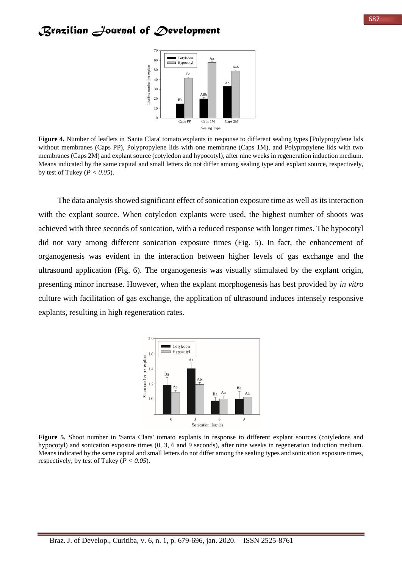

**Figure 4.** Number of leaflets in 'Santa Clara' tomato explants in response to different sealing types [Polypropylene lids without membranes (Caps PP), Polypropylene lids with one membrane (Caps 1M), and Polypropylene lids with two membranes (Caps 2M) and explant source (cotyledon and hypocotyl), after nine weeks in regeneration induction medium. Means indicated by the same capital and small letters do not differ among sealing type and explant source, respectively, by test of Tukey ( $P < 0.05$ ).

The data analysis showed significant effect of sonication exposure time as well as its interaction with the explant source. When cotyledon explants were used, the highest number of shoots was achieved with three seconds of sonication, with a reduced response with longer times. The hypocotyl did not vary among different sonication exposure times (Fig. 5). In fact, the enhancement of organogenesis was evident in the interaction between higher levels of gas exchange and the ultrasound application (Fig. 6). The organogenesis was visually stimulated by the explant origin, presenting minor increase. However, when the explant morphogenesis has best provided by *in vitro* culture with facilitation of gas exchange, the application of ultrasound induces intensely responsive explants, resulting in high regeneration rates.



**Figure 5.** Shoot number in 'Santa Clara' tomato explants in response to different explant sources (cotyledons and hypocotyl) and sonication exposure times (0, 3, 6 and 9 seconds), after nine weeks in regeneration induction medium. Means indicated by the same capital and small letters do not differ among the sealing types and sonication exposure times, respectively, by test of Tukey (*P < 0.05*).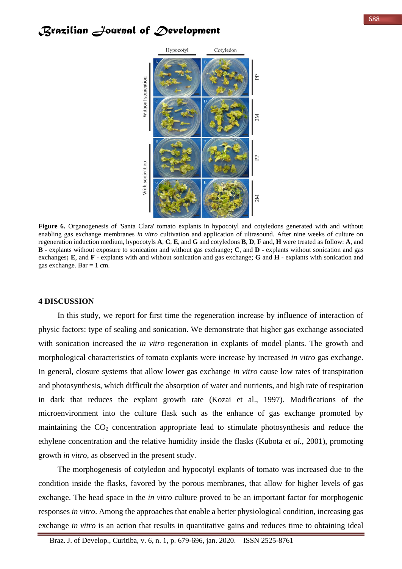

**Figure 6.** Organogenesis of 'Santa Clara' tomato explants in hypocotyl and cotyledons generated with and without enabling gas exchange membranes *in vitro* cultivation and application of ultrasound. After nine weeks of culture on regeneration induction medium, hypocotyls **A**, **C**, **E**, and **G** and cotyledons **B**, **D**, **F** and, **H** were treated as follow: **A**, and **B** - explants without exposure to sonication and without gas exchange**; C**, and **D -** explants without sonication and gas exchanges**; E**, and **F** - explants with and without sonication and gas exchange; **G** and **H** - explants with sonication and gas exchange. Bar  $= 1$  cm.

### **4 DISCUSSION**

In this study, we report for first time the regeneration increase by influence of interaction of physic factors: type of sealing and sonication. We demonstrate that higher gas exchange associated with sonication increased the *in vitro* regeneration in explants of model plants. The growth and morphological characteristics of tomato explants were increase by increased *in vitro* gas exchange. In general, closure systems that allow lower gas exchange *in vitro* cause low rates of transpiration and photosynthesis, which difficult the absorption of water and nutrients, and high rate of respiration in dark that reduces the explant growth rate (Kozai et al., 1997). Modifications of the microenvironment into the culture flask such as the enhance of gas exchange promoted by maintaining the CO<sup>2</sup> concentration appropriate lead to stimulate photosynthesis and reduce the ethylene concentration and the relative humidity inside the flasks (Kubota *et al.*, 2001), promoting growth *in vitro*, as observed in the present study.

The morphogenesis of cotyledon and hypocotyl explants of tomato was increased due to the condition inside the flasks, favored by the porous membranes, that allow for higher levels of gas exchange. The head space in the *in vitro* culture proved to be an important factor for morphogenic responses *in vitro*. Among the approaches that enable a better physiological condition, increasing gas exchange *in vitro* is an action that results in quantitative gains and reduces time to obtaining ideal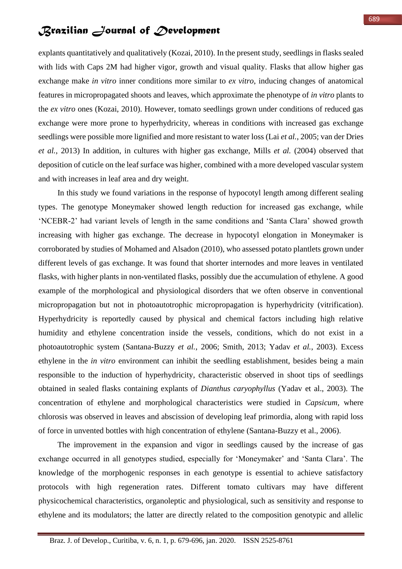explants quantitatively and qualitatively (Kozai, 2010). In the present study, seedlings in flasks sealed with lids with Caps 2M had higher vigor, growth and visual quality. Flasks that allow higher gas exchange make *in vitro* inner conditions more similar to *ex vitro*, inducing changes of anatomical features in micropropagated shoots and leaves, which approximate the phenotype of *in vitro* plants to the *ex vitro* ones (Kozai, 2010). However, tomato seedlings grown under conditions of reduced gas exchange were more prone to hyperhydricity, whereas in conditions with increased gas exchange seedlings were possible more lignified and more resistant to water loss (Lai *et al.*, 2005; van der Dries *et al.*, 2013) In addition, in cultures with higher gas exchange, Mills *et al.* (2004) observed that deposition of cuticle on the leaf surface was higher, combined with a more developed vascular system and with increases in leaf area and dry weight.

In this study we found variations in the response of hypocotyl length among different sealing types. The genotype Moneymaker showed length reduction for increased gas exchange, while 'NCEBR-2' had variant levels of length in the same conditions and 'Santa Clara' showed growth increasing with higher gas exchange. The decrease in hypocotyl elongation in Moneymaker is corroborated by studies of Mohamed and Alsadon (2010), who assessed potato plantlets grown under different levels of gas exchange. It was found that shorter internodes and more leaves in ventilated flasks, with higher plants in non-ventilated flasks, possibly due the accumulation of ethylene. A good example of the morphological and physiological disorders that we often observe in conventional micropropagation but not in photoautotrophic micropropagation is hyperhydricity (vitrification). Hyperhydricity is reportedly caused by physical and chemical factors including high relative humidity and ethylene concentration inside the vessels, conditions, which do not exist in a photoautotrophic system (Santana-Buzzy *et al.*, 2006; Smith, 2013; Yadav *et al.*, 2003). Excess ethylene in the *in vitro* environment can inhibit the seedling establishment, besides being a main responsible to the induction of hyperhydricity, characteristic observed in shoot tips of seedlings obtained in sealed flasks containing explants of *Dianthus caryophyllus* (Yadav et al., 2003). The concentration of ethylene and morphological characteristics were studied in *Capsicum,* where chlorosis was observed in leaves and abscission of developing leaf primordia, along with rapid loss of force in unvented bottles with high concentration of ethylene (Santana-Buzzy et al., 2006).

The improvement in the expansion and vigor in seedlings caused by the increase of gas exchange occurred in all genotypes studied, especially for 'Moneymaker' and 'Santa Clara'. The knowledge of the morphogenic responses in each genotype is essential to achieve satisfactory protocols with high regeneration rates. Different tomato cultivars may have different physicochemical characteristics, organoleptic and physiological, such as sensitivity and response to ethylene and its modulators; the latter are directly related to the composition genotypic and allelic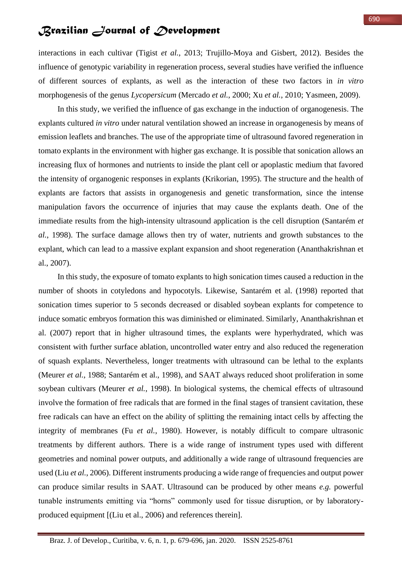interactions in each cultivar (Tigist *et al.*, 2013; Trujillo-Moya and Gisbert, 2012). Besides the influence of genotypic variability in regeneration process, several studies have verified the influence of different sources of explants, as well as the interaction of these two factors in *in vitro* morphogenesis of the genus *Lycopersicum* (Mercado *et al.*, 2000; Xu *et al.*, 2010; Yasmeen, 2009).

In this study, we verified the influence of gas exchange in the induction of organogenesis. The explants cultured *in vitro* under natural ventilation showed an increase in organogenesis by means of emission leaflets and branches. The use of the appropriate time of ultrasound favored regeneration in tomato explants in the environment with higher gas exchange. It is possible that sonication allows an increasing flux of hormones and nutrients to inside the plant cell or apoplastic medium that favored the intensity of organogenic responses in explants (Krikorian, 1995). The structure and the health of explants are factors that assists in organogenesis and genetic transformation, since the intense manipulation favors the occurrence of injuries that may cause the explants death. One of the immediate results from the high-intensity ultrasound application is the cell disruption (Santarém *et al.*, 1998). The surface damage allows then try of water, nutrients and growth substances to the explant, which can lead to a massive explant expansion and shoot regeneration (Ananthakrishnan et al., 2007).

In this study, the exposure of tomato explants to high sonication times caused a reduction in the number of shoots in cotyledons and hypocotyls. Likewise, Santarém et al. (1998) reported that sonication times superior to 5 seconds decreased or disabled soybean explants for competence to induce somatic embryos formation this was diminished or eliminated. Similarly, Ananthakrishnan et al. (2007) report that in higher ultrasound times, the explants were hyperhydrated, which was consistent with further surface ablation, uncontrolled water entry and also reduced the regeneration of squash explants. Nevertheless, longer treatments with ultrasound can be lethal to the explants (Meurer *et al.*, 1988; Santarém et al., 1998), and SAAT always reduced shoot proliferation in some soybean cultivars (Meurer *et al.*, 1998). In biological systems, the chemical effects of ultrasound involve the formation of free radicals that are formed in the final stages of transient cavitation, these free radicals can have an effect on the ability of splitting the remaining intact cells by affecting the integrity of membranes (Fu *et al.*, 1980). However, is notably difficult to compare ultrasonic treatments by different authors. There is a wide range of instrument types used with different geometries and nominal power outputs, and additionally a wide range of ultrasound frequencies are used (Liu *et al.*, 2006). Different instruments producing a wide range of frequencies and output power can produce similar results in SAAT. Ultrasound can be produced by other means *e.g.* powerful tunable instruments emitting via "horns" commonly used for tissue disruption, or by laboratoryproduced equipment [(Liu et al., 2006) and references therein].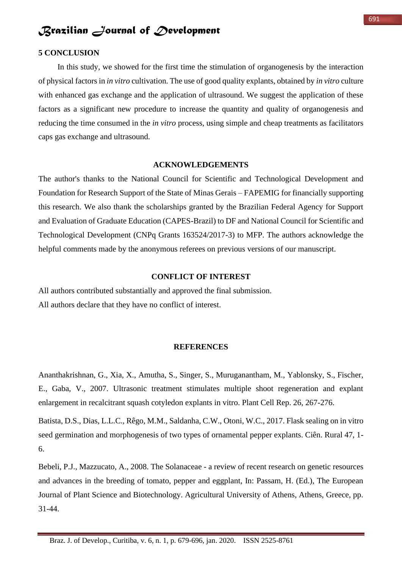#### **5 CONCLUSION**

In this study, we showed for the first time the stimulation of organogenesis by the interaction of physical factors in *in vitro* cultivation. The use of good quality explants, obtained by *in vitro* culture with enhanced gas exchange and the application of ultrasound. We suggest the application of these factors as a significant new procedure to increase the quantity and quality of organogenesis and reducing the time consumed in the *in vitro* process, using simple and cheap treatments as facilitators caps gas exchange and ultrasound.

#### **ACKNOWLEDGEMENTS**

The author's thanks to the National Council for Scientific and Technological Development and Foundation for Research Support of the State of Minas Gerais – FAPEMIG for financially supporting this research. We also thank the scholarships granted by the Brazilian Federal Agency for Support and Evaluation of Graduate Education (CAPES-Brazil) to DF and National Council for Scientific and Technological Development (CNPq Grants 163524/2017-3) to MFP. The authors acknowledge the helpful comments made by the anonymous referees on previous versions of our manuscript.

### **CONFLICT OF INTEREST**

All authors contributed substantially and approved the final submission. All authors declare that they have no conflict of interest.

#### **REFERENCES**

Ananthakrishnan, G., Xia, X., Amutha, S., Singer, S., Muruganantham, M., Yablonsky, S., Fischer, E., Gaba, V., 2007. Ultrasonic treatment stimulates multiple shoot regeneration and explant enlargement in recalcitrant squash cotyledon explants in vitro. Plant Cell Rep. 26, 267-276.

Batista, D.S., Dias, L.L.C., Rêgo, M.M., Saldanha, C.W., Otoni, W.C., 2017. Flask sealing on in vitro seed germination and morphogenesis of two types of ornamental pepper explants. Ciên. Rural 47, 1- 6.

Bebeli, P.J., Mazzucato, A., 2008. The Solanaceae - a review of recent research on genetic resources and advances in the breeding of tomato, pepper and eggplant, In: Passam, H. (Ed.), The European Journal of Plant Science and Biotechnology. Agricultural University of Athens, Athens, Greece, pp. 31-44.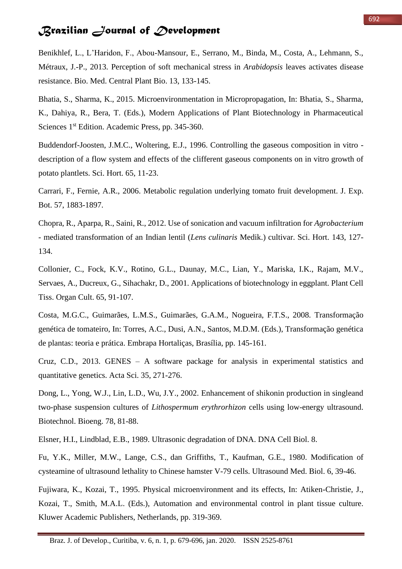Benikhlef, L., L'Haridon, F., Abou-Mansour, E., Serrano, M., Binda, M., Costa, A., Lehmann, S., Métraux, J.-P., 2013. Perception of soft mechanical stress in *Arabidopsis* leaves activates disease resistance. Bio. Med. Central Plant Bio. 13, 133-145.

Bhatia, S., Sharma, K., 2015. Microenvironmentation in Micropropagation, In: Bhatia, S., Sharma, K., Dahiya, R., Bera, T. (Eds.), Modern Applications of Plant Biotechnology in Pharmaceutical Sciences 1<sup>st</sup> Edition. Academic Press, pp. 345-360.

Buddendorf-Joosten, J.M.C., Woltering, E.J., 1996. Controlling the gaseous composition in vitro description of a flow system and effects of the clifferent gaseous components on in vitro growth of potato plantlets. Sci. Hort. 65, 11-23.

Carrari, F., Fernie, A.R., 2006. Metabolic regulation underlying tomato fruit development. J. Exp. Bot. 57, 1883-1897.

Chopra, R., Aparpa, R., Saini, R., 2012. Use of sonication and vacuum infiltration for *Agrobacterium* - mediated transformation of an Indian lentil (*Lens culinaris* Medik.) cultivar. Sci. Hort. 143, 127- 134.

Collonier, C., Fock, K.V., Rotino, G.L., Daunay, M.C., Lian, Y., Mariska, I.K., Rajam, M.V., Servaes, A., Ducreux, G., Sihachakr, D., 2001. Applications of biotechnology in eggplant. Plant Cell Tiss. Organ Cult. 65, 91-107.

Costa, M.G.C., Guimarães, L.M.S., Guimarães, G.A.M., Nogueira, F.T.S., 2008. Transformação genética de tomateiro, In: Torres, A.C., Dusi, A.N., Santos, M.D.M. (Eds.), Transformação genética de plantas: teoria e prática. Embrapa Hortaliças, Brasília, pp. 145-161.

Cruz, C.D., 2013. GENES – A software package for analysis in experimental statistics and quantitative genetics. Acta Sci. 35, 271-276.

Dong, L., Yong, W.J., Lin, L.D., Wu, J.Y., 2002. Enhancement of shikonin production in singleand two-phase suspension cultures of *Lithospermum erythrorhizon* cells using low-energy ultrasound. Biotechnol. Bioeng. 78, 81-88.

Elsner, H.I., Lindblad, E.B., 1989. Ultrasonic degradation of DNA. DNA Cell Biol. 8.

Fu, Y.K., Miller, M.W., Lange, C.S., dan Griffiths, T., Kaufman, G.E., 1980. Modification of cysteamine of ultrasound lethality to Chinese hamster V-79 cells. Ultrasound Med. Biol. 6, 39-46.

Fujiwara, K., Kozai, T., 1995. Physical microenvironment and its effects, In: Atiken-Christie, J., Kozai, T., Smith, M.A.L. (Eds.), Automation and environmental control in plant tissue culture. Kluwer Academic Publishers, Netherlands, pp. 319-369.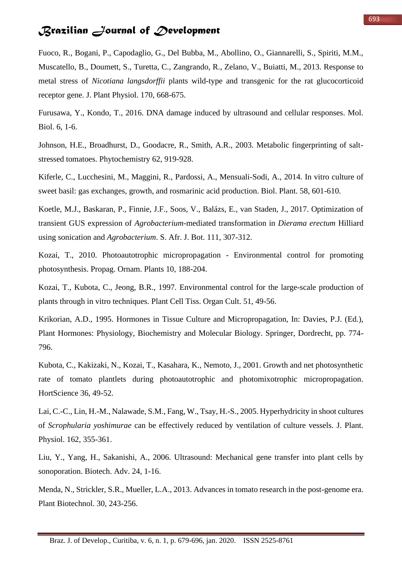Fuoco, R., Bogani, P., Capodaglio, G., Del Bubba, M., Abollino, O., Giannarelli, S., Spiriti, M.M., Muscatello, B., Doumett, S., Turetta, C., Zangrando, R., Zelano, V., Buiatti, M., 2013. Response to metal stress of *Nicotiana langsdorffii* plants wild-type and transgenic for the rat glucocorticoid receptor gene. J. Plant Physiol. 170, 668-675.

Furusawa, Y., Kondo, T., 2016. DNA damage induced by ultrasound and cellular responses. Mol. Biol. 6, 1-6.

Johnson, H.E., Broadhurst, D., Goodacre, R., Smith, A.R., 2003. Metabolic fingerprinting of saltstressed tomatoes. Phytochemistry 62, 919-928.

Kiferle, C., Lucchesini, M., Maggini, R., Pardossi, A., Mensuali-Sodi, A., 2014. In vitro culture of sweet basil: gas exchanges, growth, and rosmarinic acid production. Biol. Plant. 58, 601-610.

Koetle, M.J., Baskaran, P., Finnie, J.F., Soos, V., Balázs, E., van Staden, J., 2017. Optimization of transient GUS expression of *Agrobacterium*-mediated transformation in *Dierama erectum* Hilliard using sonication and *Agrobacterium*. S. Afr. J. Bot. 111, 307-312.

Kozai, T., 2010. Photoautotrophic micropropagation - Environmental control for promoting photosynthesis. Propag. Ornam. Plants 10, 188-204.

Kozai, T., Kubota, C., Jeong, B.R., 1997. Environmental control for the large-scale production of plants through in vitro techniques. Plant Cell Tiss. Organ Cult. 51, 49-56.

Krikorian, A.D., 1995. Hormones in Tissue Culture and Micropropagation, In: Davies, P.J. (Ed.), Plant Hormones: Physiology, Biochemistry and Molecular Biology. Springer, Dordrecht, pp. 774- 796.

Kubota, C., Kakizaki, N., Kozai, T., Kasahara, K., Nemoto, J., 2001. Growth and net photosynthetic rate of tomato plantlets during photoautotrophic and photomixotrophic micropropagation. HortScience 36, 49-52.

Lai, C.-C., Lin, H.-M., Nalawade, S.M., Fang, W., Tsay, H.-S., 2005. Hyperhydricity in shoot cultures of *Scrophularia yoshimurae* can be effectively reduced by ventilation of culture vessels. J. Plant. Physiol. 162, 355-361.

Liu, Y., Yang, H., Sakanishi, A., 2006. Ultrasound: Mechanical gene transfer into plant cells by sonoporation. Biotech. Adv. 24, 1-16.

Menda, N., Strickler, S.R., Mueller, L.A., 2013. Advances in tomato research in the post-genome era. Plant Biotechnol. 30, 243-256.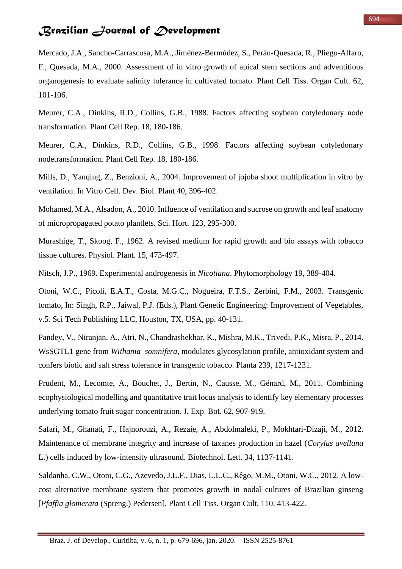Mercado, J.A., Sancho-Carrascosa, M.A., Jiménez-Bermúdez, S., Perán-Quesada, R., Pliego-Alfaro, F., Quesada, M.A., 2000. Assessment of in vitro growth of apical stem sections and adventitious organogenesis to evaluate salinity tolerance in cultivated tomato. Plant Cell Tiss. Organ Cult. 62, 101-106.

Meurer, C.A., Dinkins, R.D., Collins, G.B., 1988. Factors affecting soybean cotyledonary node transformation. Plant Cell Rep. 18, 180-186.

Meurer, C.A., Dinkins, R.D., Collins, G.B., 1998. Factors affecting soybean cotyledonary nodetransformation. Plant Cell Rep. 18, 180-186.

Mills, D., Yanqing, Z., Benzioni, A., 2004. Improvement of jojoba shoot multiplication in vitro by ventilation. In Vitro Cell. Dev. Biol. Plant 40, 396-402.

Mohamed, M.A., Alsadon, A., 2010. Influence of ventilation and sucrose on growth and leaf anatomy of micropropagated potato plantlets. Sci. Hort. 123, 295-300.

Murashige, T., Skoog, F., 1962. A revised medium for rapid growth and bio assays with tobacco tissue cultures. Physiol. Plant. 15, 473-497.

Nitsch, J.P., 1969. Experimental androgenesis in *Nicotiana*. Phytomorphology 19, 389-404.

Otoni, W.C., Picoli, E.A.T., Costa, M.G.C., Nogueira, F.T.S., Zerbini, F.M., 2003. Transgenic tomato, In: Singh, R.P., Jaiwal, P.J. (Eds.), Plant Genetic Engineering: Improvement of Vegetables, v.5. Sci Tech Publishing LLC, Houston, TX, USA, pp. 40-131.

Pandey, V., Niranjan, A., Atri, N., Chandrashekhar, K., Mishra, M.K., Trivedi, P.K., Misra, P., 2014. WsSGTL1 gene from *Withania somnifera*, modulates glycosylation profile, antioxidant system and confers biotic and salt stress tolerance in transgenic tobacco. Planta 239, 1217-1231.

Prudent, M., Lecomte, A., Bouchet, J., Bertin, N., Causse, M., Génard, M., 2011. Combining ecophysiological modelling and quantitative trait locus analysis to identify key elementary processes underlying tomato fruit sugar concentration. J. Exp. Bot. 62, 907-919.

Safari, M., Ghanati, F., Hajnorouzi, A., Rezaie, A., Abdolmaleki, P., Mokhtari-Dizaji, M., 2012. Maintenance of membrane integrity and increase of taxanes production in hazel (*Corylus avellana*  L.) cells induced by low-intensity ultrasound. Biotechnol. Lett. 34, 1137-1141.

Saldanha, C.W., Otoni, C.G., Azevedo, J.L.F., Dias, L.L.C., Rêgo, M.M., Otoni, W.C., 2012. A lowcost alternative membrane system that promotes growth in nodal cultures of Brazilian ginseng [*Pfaffia glomerata* (Spreng.) Pedersen]. Plant Cell Tiss. Organ Cult. 110, 413-422.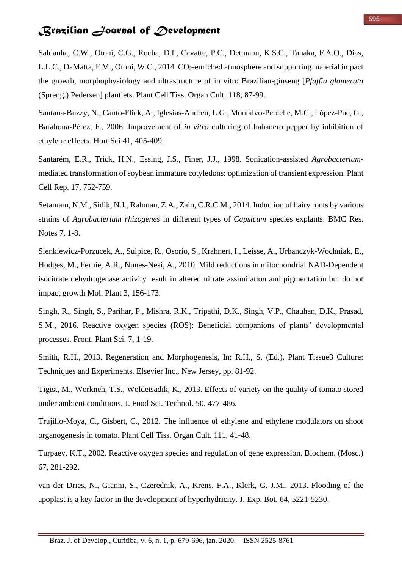Saldanha, C.W., Otoni, C.G., Rocha, D.I., Cavatte, P.C., Detmann, K.S.C., Tanaka, F.A.O., Dias, L.L.C., DaMatta, F.M., Otoni, W.C., 2014. CO<sub>2</sub>-enriched atmosphere and supporting material impact the growth, morphophysiology and ultrastructure of in vitro Brazilian-ginseng [*Pfaffia glomerata* (Spreng.) Pedersen] plantlets. Plant Cell Tiss. Organ Cult. 118, 87-99.

Santana-Buzzy, N., Canto-Flick, A., Iglesias-Andreu, L.G., Montalvo-Peniche, M.C., López-Puc, G., Barahona-Pérez, F., 2006. Improvement of *in vitro* culturing of habanero pepper by inhibition of ethylene effects. Hort Sci 41, 405-409.

Santarém, E.R., Trick, H.N., Essing, J.S., Finer, J.J., 1998. Sonication-assisted *Agrobacterium*mediated transformation of soybean immature cotyledons: optimization of transient expression. Plant Cell Rep. 17, 752-759.

Setamam, N.M., Sidik, N.J., Rahman, Z.A., Zain, C.R.C.M., 2014. Induction of hairy roots by various strains of *Agrobacterium rhizogenes* in different types of *Capsicum* species explants. BMC Res. Notes 7, 1-8.

Sienkiewicz-Porzucek, A., Sulpice, R., Osorio, S., Krahnert, I., Leisse, A., Urbanczyk-Wochniak, E., Hodges, M., Fernie, A.R., Nunes-Nesi, A., 2010. Mild reductions in mitochondrial NAD-Dependent isocitrate dehydrogenase activity result in altered nitrate assimilation and pigmentation but do not impact growth Mol. Plant 3, 156-173.

Singh, R., Singh, S., Parihar, P., Mishra, R.K., Tripathi, D.K., Singh, V.P., Chauhan, D.K., Prasad, S.M., 2016. Reactive oxygen species (ROS): Beneficial companions of plants' developmental processes. Front. Plant Sci. 7, 1-19.

Smith, R.H., 2013. Regeneration and Morphogenesis, In: R.H., S. (Ed.), Plant Tissue3 Culture: Techniques and Experiments. Elsevier Inc., New Jersey, pp. 81-92.

Tigist, M., Workneh, T.S., Woldetsadik, K., 2013. Effects of variety on the quality of tomato stored under ambient conditions. J. Food Sci. Technol. 50, 477-486.

Trujillo-Moya, C., Gisbert, C., 2012. The influence of ethylene and ethylene modulators on shoot organogenesis in tomato. Plant Cell Tiss. Organ Cult. 111, 41-48.

Turpaev, K.T., 2002. Reactive oxygen species and regulation of gene expression. Biochem. (Mosc.) 67, 281-292.

van der Dries, N., Gianni, S., Czerednik, A., Krens, F.A., Klerk, G.-J.M., 2013. Flooding of the apoplast is a key factor in the development of hyperhydricity. J. Exp. Bot. 64, 5221-5230.